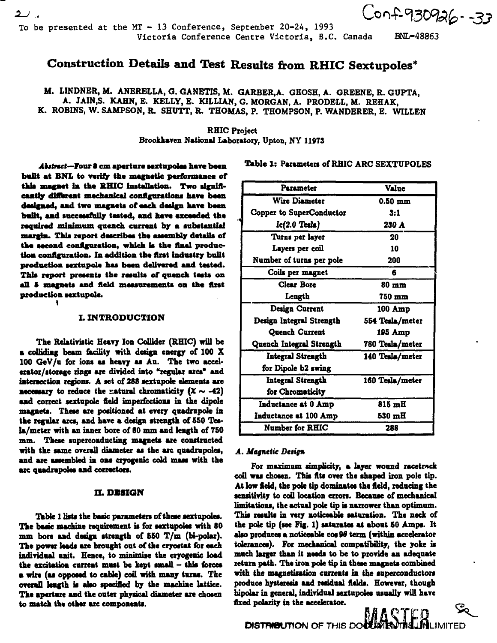Conf930926-33

# **Construction Details and Test Results from RHIC Sextupoles\***

**Victori a Conference Centre Victoria , B.C. Canada BNL-48863**

**To be presented at the MT - 13 Conference, September 20-24 , 1993**

**M. LINDNER, M. ANBRBLLA, G. GANETIS, M. GARBER.A. GHOSH, A. GREENE, R. GUPTA, A. JAIN.S. KAHN, E. KELLY, E. KILLIAN, G. MORGAN, A. PRODELL, M. REHAK, K. ROBINS, W. SAMPSON, R. SHUTT, R. THOMAS, P. THOMPSON, P. WANDERER, E. WILLEN**

> **RHIC Project Brookhaven National Laboratory, Upton, NY 11973**

*Abstract—tout* **t cm aperture sextupoles have been built at BNL to verify the magnetic performance of** this magnet in the **RHIC** installation. Two signifi**cantly dflrerent mechanical configurations have been designed, and two magnets of each design have been built, and successfully tested, and have exceeded the required minimum quench current by a substantial margin. This report describes the assembly details of** the second configuration, which is the final produc**tion configuration. In addition the first industry built production sextupole has been delivered and tested.** This report presents the results of quench tests on all 5 magnets and field measurements on the first **production scxtupole.**

.. رح

# **I. INTRODUCTION**

**The Relativistic Heavy Ion Collider (RHIC) will be** a colliding beam facility with design energy of 100 X **100 GeV/u for ions as heavy as Au. The two accelerator/storage rings are divided into "regular arcs" and intersection regions. A set of 288 sextnpole elements are necessary** to reduce the natural chromaticity  $(X \sim -42)$ **and correct sextupole field imperfections in the dipole magnets. These are positioned at every quadrupole in the regular arcs, and have a design strength of 550 Tesla/meter with an inner bore of 80 mm and length of 750 mm. These superconducting magnets are constructed with the same overall diameter as the arc quadrupoles, and are assembled in one cryogenic cold mass with the arc quadrupoles and correctors.**

#### **IL DESIGN**

**Table 1 lists the basic parameters of these sextupoles.** The basic machine requirement is for sextupoles with 80 **mm bore and design strength of 650 T/m (bi-polar). The power leads are brought out of the cryostat for each individual unit. Hence, to minimise the cryogenic load the excitation current must be kept small - this forces a wire (as opposed to cable) coil with many turns. The overall length is also specified by the machine lattice. The aperture and the outer physical diameter are chosen to match the other arc components.**

**Table 1: Parameter! of RHIC ARC SEXTUPOLES**

| Parameter                | Value           |
|--------------------------|-----------------|
| <b>Wire Diameter</b>     | $0.50$ mm       |
| Copper to SuperConductor | 3:1             |
| $Ic(2.0$ Tesla)          | 230 A           |
| Turns per layer          | 20              |
| Layers per coil          | 10              |
| Number of turns per pole | 200             |
| Coils per magnet         | 6               |
| <b>Clear Bore</b>        | 80 mm           |
| Length                   | $750$ mm        |
| Design Current           | 100 Amp         |
| Design Integral Strength | 554 Tesla/meter |
| Quench Current           | 195 Amp         |
| Quench Integral Strength | 780 Tesla/meter |
| Integral Strength        | 140 Tesla/meter |
| for Dipole b2 swing      |                 |
| Integral Strength        | 160 Tesla/meter |
| for Chromaticity         |                 |
| Inductance at 0 Amp      | 815 mH          |
| Inductance at 100 Amp    | 530 mH          |
| Number for RHIC          | 288             |

#### *A. Magnetic Deiig\**

**For maximum simplicity, a layer wound racetrack coil was chosen. This fits over the shaped iron pole tip. At low field, the pole tip dominates the field, reducing the sensitivity to coil location errors. Because of mechanical limitations, the actual pole tip is narrower than optimum. This results in very noticeable saturation. The neck of the pole tip (see Fig. 1) saturates at about 60 Amps. It also produces a noticeable cos W term (within accelerator tolerances). For mechanical compatibility, the yoke is much larger than it needs to be to provide an adequate return path. The iron pole tip in these magnets combined with the magnetisation currents in the superconductors produce hysteresis and residual fields. However, though bipolar in general, individual sextupoles usually will have fixed polarity in the accelerator.**

DISTRIBUTION OF THIS DOCUMENT AND THIS THE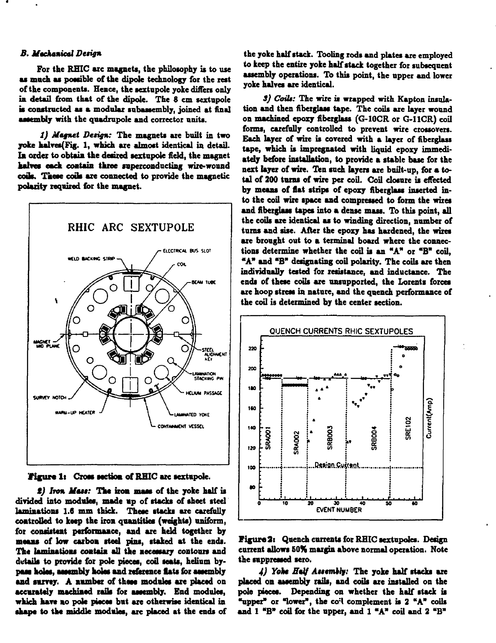#### *B. Mackanical Deng\**

**For the RHIC arc magnets, the philosophy is to use** as much as possible of the dipole technology for the rest of the components. Hence, the sextupole voke differs only **in detail from that of the dipole. The 8 cm sextnpole k constructed as a modular snbassembly, joined at final** assembly with the quadrupole and corrector units.

*1) Maput Detign:* **The magnets are built in two yoke halves(Fig. 1, which are almost identical in detail.** In order to obtain the desired sextupole field, the magnet **halves each contain three superconducting wire-wound coils. These coils are connected to pronde the magnetic polarity required lor the magnet.**





*t) Iron* **Mass:** The iron mass of the yoke half is **divided into modules, made np of stacks of sheet steel laminations 1.8 mm thick. These stacks are carefully controlled to keep the iron quantities (weights) uniform, for consistent performance, and are held together by means of low carbon steel pins, staked at the ends. The laminations contain all the necessary contours and details to provide for pole pieces, coil seats, helium bypass holes, assembly holes and reference flats for assembly and survey. A number of these modules are placed on accurately machined rails for assembly. End modules, which have no pole pieces but are otherwise identical in shape to the middle modules, are placed at the ends of** **the yoke half stack. Tooling rods and plates are employed to keep the entire yoke half stack together for subsequent assembly operations. To this point, the upper and lower yoke halves are identical.**

*S) Coils:* **The wire is wrapped with Kapton insulation and then fiberglass tape. The coils are layer wound on machined epoxy fiberglass (G-10CR or G-11CR) coil forms, carefully controlled to prevent wire crossovers. Each layer of wire is covered with a layer of fiberglass** tape, which is impregnated with liquid epoxy immedi**ately before installation, to provide a stable base for the next layer of wire. Ten such layers are built-up, for a total of 200 turns of wire per coil. Coil closure is effected by means of flat strips of epoxy fiberglass inserted into the coil wire space and compressed to form the wires and fiberglass tapes into a dense mass. To this point, all the coils are identical as to winding direction, number of turns and sise. After the epoxy has hardened, the wires are brought out to a terminal board where the connections determine whether the coil is an "A" or "B" coil, "A" and "B" designating coil polarity. The coils are then individually tested for resistance, and inductance. The ends of these coils are unsupported, the Lorents forces are hoop stress in nature, and the quench performance of** the coil is determined by the center section.



**Figure 21 Quench currents for RHIC sextupoles. Design current allows 50% margin above normal operation. Note the suppressed sero.**

*4) Yoht Hulf Aumhtt:* **The yoke half stacks are placed on assembly rails, and coils are installed on the pole pieces. Depending on whether the half stack is "upper" or "lower", the co: l complement is 2 "A\* coils and 1 "B" coil for the upper, and 1 "A" coil and 2 "B"**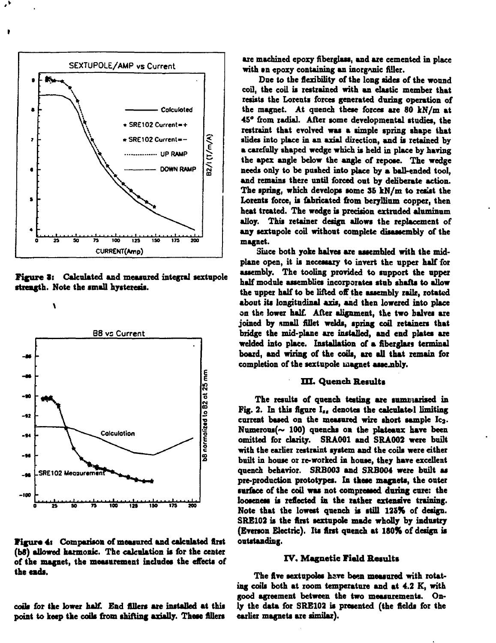

**Figure I: Calculated and measured integral sextupole strength. Note the small hysteresis.**



**Figure 4: Comparison of measured and calculated trst (b8) allowed harmonic. The calculation is for the center of the magnet, the measurement includes the effects of the ends.**

**coils for the lower half. End fillers are installed at this** point to keep the coils from shifting axially. These fillers

**are machined epoxy fiberglass, and are cemented in place with in epoxy containing an inorgnnic filler.**

**Due to the flexibility of the long sides of the wound coil, the coil is restrained with an elastic member that resists the Lorents forces generated during operation of the magnet. At quench these forces are 80 kN/m at 45<sup>s</sup> from radial. After some developmental studies, the restraint that evolved was a simple spring shape that slides into place in an axial direction, and is retained by a carefully shaped wedge which is held in place by having the apex angle below the angle of repose. The wedge** needs only to be pushed into place by a ball-ended tool, **and remains there until forced out by deliberate action. The spring, which develops some 35 kN/m to resist the Lorents force, is fabricated from beryllium copper, then heat treated. The wedge is precision extruded aluminum alloy. This retainer design allows the replacement of any sextupole coil without complete disassembly of the magnet.**

**Since both yoke halves are assembled with the midplane open, it is necessary to invert the upper half for assembly. The tooling provided to support the upper half module assemblies incorporates stub shafts to allow the upper half to be lifted off the assembly rails, rotated about its longitudinal axis, and then lowered into place on the lower half. After alignment, the two halves are joined by nmall fillet welds, spring coil retainers that bridge the mid-plane are installed, and end plates are** welded into place. Installation of a fiberglass terminal **board, and wiring of the coils, axe all that remain for completion of the sextnpole magnet assembly.**

#### **m . Quench Results**

**The results of quench testing are summarised in Fig. 2. In this figure I,, denotes the calculated limiting current based on the measured wire short sample Icj. Numerous(~ 100) quenchs on the plateaux have been omitted for clarity. SRA001 and SRA002 were built with the earlier restraint system and the coils were either built in house or re-worked in house, they have excellent quench behavior. SRB003 and SRB004 were built as pre-production prototypes. In these magnets, the outer surface of the coil was not compressed during cure: the looseness is reflected in the rather extensive training. Note that the lowest quench is still 125% of design. SRE102 is the first sextupole made wholly by industry (Everson Electric). Its first quench at 180% of design is outstanding.**

### **IV. Magnetic Field Results**

**The five sextupoles have been measured with rotating coils both at room temperature and at 4.2 K, with good agreement between the two measurements. Only the data for SRE102 is presented (the fields for the earlier magnets are similar).**